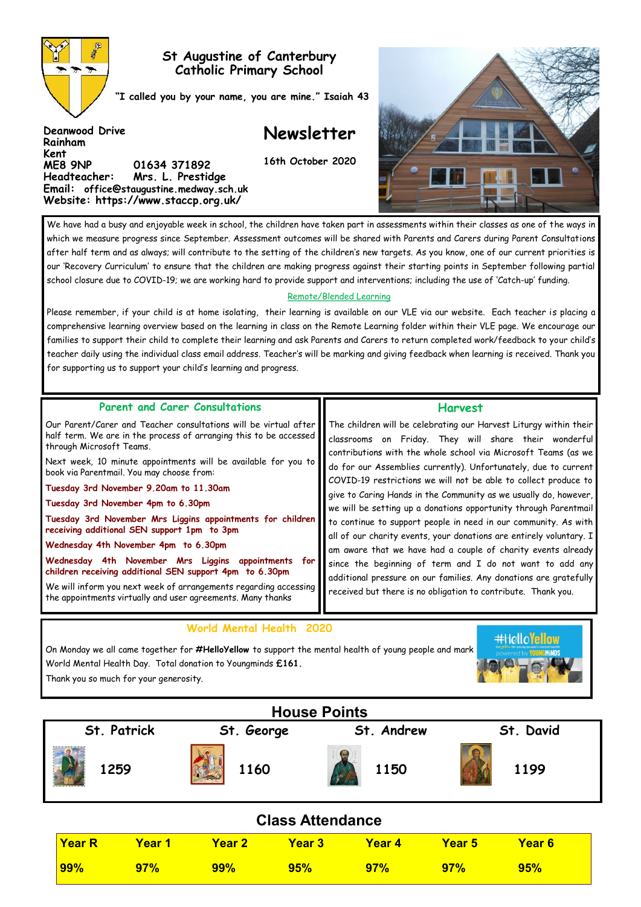

**Deanwood Drive**

**Rainham Kent** 

## **St Augustine of Canterbury Catholic Primary School**

**"I called you by your name, you are mine." Isaiah 43**

## **Newsletter**

**16th October 2020**



We have had a busy and enjoyable week in school, the children have taken part in assessments within their classes as one of the ways in which we measure progress since September. Assessment outcomes will be shared with Parents and Carers during Parent Consultations after half term and as always; will contribute to the setting of the children's new targets. As you know, one of our current priorities is our 'Recovery Curriculum' to ensure that the children are making progress against their starting points in September following partial school closure due to COVID-19; we are working hard to provide support and interventions; including the use of 'Catch-up' funding.

#### Remote/Blended Learning

Please remember, if your child is at home isolating, their learning is available on our VLE via our website. Each teacher is placing a comprehensive learning overview based on the learning in class on the Remote Learning folder within their VLE page. We encourage our families to support their child to complete their learning and ask Parents and Carers to return completed work/feedback to your child's teacher daily using the individual class email address. Teacher's will be marking and giving feedback when learning is received. Thank you for supporting us to support your child's learning and progress.

#### **Parent and Carer Consultations**

**ME8 9NP 01634 371892** 

**Headteacher: Mrs. L. Prestidge Email: office@staugustine.medway.sch.uk Website: https://www.staccp.org.uk/**

Our Parent/Carer and Teacher consultations will be virtual after half term. We are in the process of arranging this to be accessed through Microsoft Teams.

Next week, 10 minute appointments will be available for you to book via Parentmail. You may choose from:

**Tuesday 3rd November 9.20am to 11.30am**

**Tuesday 3rd November 4pm to 6.30pm**

**Tuesday 3rd November Mrs Liggins appointments for children receiving additional SEN support 1pm to 3pm** 

**Wednesday 4th November 4pm to 6.30pm**

**Wednesday 4th November Mrs Liggins appointments for children receiving additional SEN support 4pm to 6.30pm** 

We will inform you next week of arrangements regarding accessing the appointments virtually and user agreements. Many thanks

# **World Mental Health 2020**

## **Harvest**

The children will be celebrating our Harvest Liturgy within their classrooms on Friday. They will share their wonderful contributions with the whole school via Microsoft Teams (as we do for our Assemblies currently). Unfortunately, due to current COVID-19 restrictions we will not be able to collect produce to give to Caring Hands in the Community as we usually do, however, we will be setting up a donations opportunity through Parentmail to continue to support people in need in our community. As with all of our charity events, your donations are entirely voluntary. I am aware that we have had a couple of charity events already since the beginning of term and I do not want to add any additional pressure on our families. Any donations are gratefully received but there is no obligation to contribute. Thank you.

On Monday we all came together for **#HelloYellow** to support the mental health of young people and mark World Mental Health Day. Total donation to Youngminds **£161.**  Thank you so much for your generosity.



| <b>House Points</b>     |               |            |               |               |               |           |        |  |
|-------------------------|---------------|------------|---------------|---------------|---------------|-----------|--------|--|
| St. Patrick             |               | St. George |               | St. Andrew    |               | St. David |        |  |
|                         |               | 1259       | 1160          |               | 1150          |           | 1199   |  |
| <b>Class Attendance</b> |               |            |               |               |               |           |        |  |
|                         | <b>Year R</b> | Year 1     | <b>Year 2</b> | <b>Year 3</b> | <b>Year 4</b> | Year 5    | Year 6 |  |
|                         | <b>99%</b>    | 97%        | <b>99%</b>    | 95%           | 97%           | 97%       | 95%    |  |